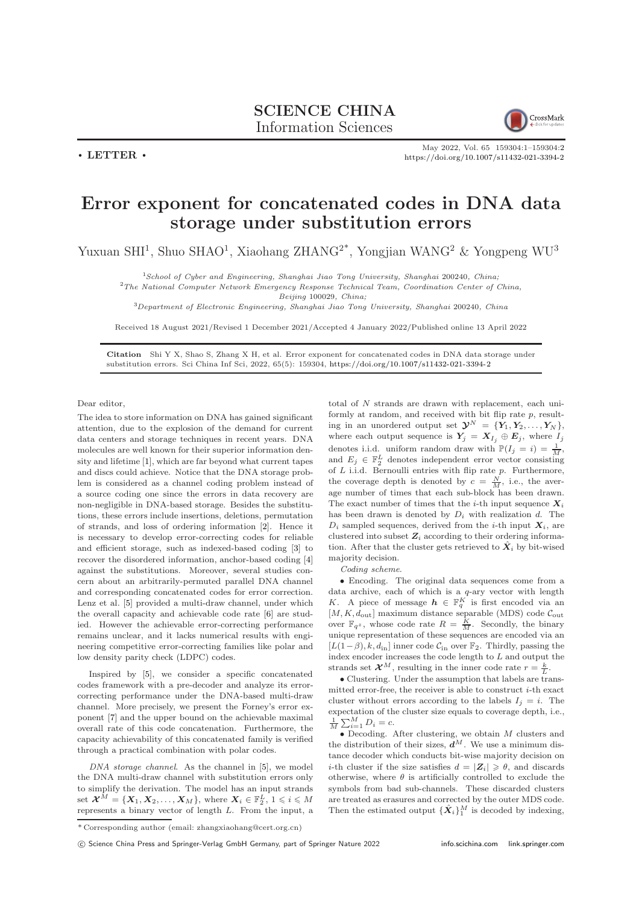$\cdot$  LETTER  $\cdot$ 



May 2022, Vol. 65 159304:1–159304[:2](#page-1-0) <https://doi.org/10.1007/s11432-021-3394-2>

## Error exponent for concatenated codes in DNA data storage under substitution errors

Yuxuan SHI<sup>1</sup>, Shuo SHAO<sup>1</sup>, Xiaohang ZHANG<sup>2\*</sup>, Yongjian WANG<sup>2</sup> & Yongpeng WU<sup>3</sup>

<sup>1</sup>School of Cyber and Engineering, Shanghai Jiao Tong University, Shanghai 200240, China;

<sup>2</sup>The National Computer Network Emergency Response Technical Team, Coordination Center of China,

Beijing 100029, China;

<sup>3</sup>Department of Electronic Engineering, Shanghai Jiao Tong University, Shanghai 200240, China

Received 18 August 2021/Revised 1 December 2021/Accepted 4 January 2022/Published online 13 April 2022

Citation Shi Y X, Shao S, Zhang X H, et al. Error exponent for concatenated codes in DNA data storage under substitution errors. Sci China Inf Sci, 2022, 65(5): 159304, <https://doi.org/10.1007/s11432-021-3394-2>

Dear editor,

The idea to store information on DNA has gained significant attention, due to the explosion of the demand for current data centers and storage techniques in recent years. DNA molecules are well known for their superior information density and lifetime [\[1\]](#page-1-1), which are far beyond what current tapes and discs could achieve. Notice that the DNA storage problem is considered as a channel coding problem instead of a source coding one since the errors in data recovery are non-negligible in DNA-based storage. Besides the substitutions, these errors include insertions, deletions, permutation of strands, and loss of ordering information [\[2\]](#page-1-2). Hence it is necessary to develop error-correcting codes for reliable and efficient storage, such as indexed-based coding [\[3\]](#page-1-3) to recover the disordered information, anchor-based coding [\[4\]](#page-1-4) against the substitutions. Moreover, several studies concern about an arbitrarily-permuted parallel DNA channel and corresponding concatenated codes for error correction. Lenz et al. [\[5\]](#page-1-5) provided a multi-draw channel, under which the overall capacity and achievable code rate [\[6\]](#page-1-6) are studied. However the achievable error-correcting performance remains unclear, and it lacks numerical results with engineering competitive error-correcting families like polar and low density parity check (LDPC) codes.

Inspired by [\[5\]](#page-1-5), we consider a specific concatenated codes framework with a pre-decoder and analyze its errorcorrecting performance under the DNA-based multi-draw channel. More precisely, we present the Forney's error exponent [\[7\]](#page-1-7) and the upper bound on the achievable maximal overall rate of this code concatenation. Furthermore, the capacity achievability of this concatenated family is verified through a practical combination with polar codes.

DNA storage channel. As the channel in [\[5\]](#page-1-5), we model the DNA multi-draw channel with substitution errors only to simplify the derivation. The model has an input strands set  $\mathcal{X}^M = \{X_1, X_2, \ldots, X_M\}$ , where  $X_i \in \mathbb{F}_2^L$ ,  $1 \leqslant i \leqslant M$ represents a binary vector of length L. From the input, a total of N strands are drawn with replacement, each uniformly at random, and received with bit flip rate p, resulting in an unordered output set  $\mathbf{\mathcal{Y}}^N = \{Y_1, Y_2, \ldots, Y_N\},\$ where each output sequence is  $\textbf{\emph{Y}}_j \ = \ \textbf{\emph{X}}_{I_j} \ \oplus \ \textbf{\emph{E}}_j,$  where  $I_j$ denotes i.i.d. uniform random draw with  $\mathbb{P}(I_j = i) = \frac{1}{M}$ , and  $E_j \in \mathbb{F}_2^L$  denotes independent error vector consisting of  $L$  i.i.d. Bernoulli entries with flip rate  $p$ . Furthermore, the coverage depth is denoted by  $c = \frac{N}{M}$ , i.e., the average number of times that each sub-block has been drawn. The exact number of times that the *i*-th input sequence  $X_i$ has been drawn is denoted by  $D_i$  with realization d. The  $D_i$  sampled sequences, derived from the *i*-th input  $\mathbf{X}_i$ , are clustered into subset  $Z_i$  according to their ordering information. After that the cluster gets retrieved to  $\hat{X}_i$  by bit-wised majority decision.

Coding scheme.

• Encoding. The original data sequences come from a data archive, each of which is a q-ary vector with length K. A piece of message  $h \in \mathbb{F}_q^K$  is first encoded via an  $[M, K, d_{\text{out}}]$  maximum distance separable (MDS) code  $\mathcal{C}_{\text{out}}$ over  $\mathbb{F}_{q^z}$ , whose code rate  $R = \frac{K}{M}$ . Secondly, the binary unique representation of these sequences are encoded via an  $[L(1-\beta), k, d_{\rm in}]$ inner code  $\mathcal{C}_{\rm in}$  over  $\mathbb{F}_2$  . Thirdly, passing the index encoder increases the code length to L and output the strands set  $\mathcal{X}^M$ , resulting in the inner code rate  $r = \frac{k}{L}$ .

• Clustering. Under the assumption that labels are transmitted error-free, the receiver is able to construct  $i$ -th exact cluster without errors according to the labels  $I_i = i$ . The expectation of the cluster size equals to coverage depth, i.e.,  $\frac{1}{M} \sum_{i=1}^{M} D_i = c.$ 

 $\bullet$  Decoding. After clustering, we obtain  $M$  clusters and the distribution of their sizes,  $\tilde{d}^M$ . We use a minimum distance decoder which conducts bit-wise majority decision on *i*-th cluster if the size satisfies  $d = |Z_i| \ge \theta$ , and discards otherwise, where  $\theta$  is artificially controlled to exclude the symbols from bad sub-channels. These discarded clusters are treated as erasures and corrected by the outer MDS code. Then the estimated output  $\{\hat{\boldsymbol{X}}_i\}_1^M$  is decoded by indexing,

c Science China Press and Springer-Verlag GmbH Germany, part of Springer Nature 2022 <info.scichina.com><link.springer.com>

<sup>\*</sup> Corresponding author (email: zhangxiaohang@cert.org.cn)